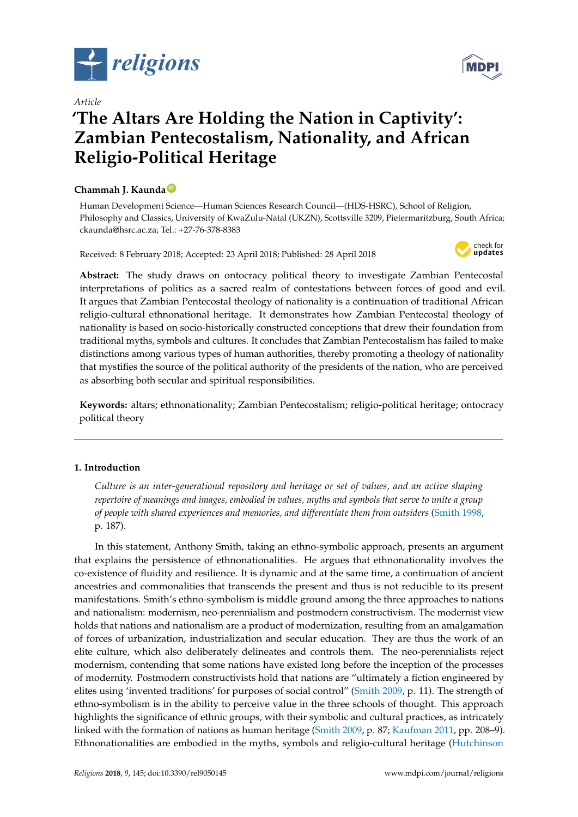

*Article*

# **'The Altars Are Holding the Nation in Captivity': Zambian Pentecostalism, Nationality, and African Religio-Political Heritage**

# **Chammah J. Kaunda [ID](https://orcid.org/0000-0001-6879-6330)**

Human Development Science—Human Sciences Research Council—(HDS-HSRC), School of Religion, Philosophy and Classics, University of KwaZulu-Natal (UKZN), Scottsville 3209, Pietermaritzburg, South Africa; ckaunda@hsrc.ac.za; Tel.: +27-76-378-8383

Received: 8 February 2018; Accepted: 23 April 2018; Published: 28 April 2018



**Abstract:** The study draws on ontocracy political theory to investigate Zambian Pentecostal interpretations of politics as a sacred realm of contestations between forces of good and evil. It argues that Zambian Pentecostal theology of nationality is a continuation of traditional African religio-cultural ethnonational heritage. It demonstrates how Zambian Pentecostal theology of nationality is based on socio-historically constructed conceptions that drew their foundation from traditional myths, symbols and cultures. It concludes that Zambian Pentecostalism has failed to make distinctions among various types of human authorities, thereby promoting a theology of nationality that mystifies the source of the political authority of the presidents of the nation, who are perceived as absorbing both secular and spiritual responsibilities.

**Keywords:** altars; ethnonationality; Zambian Pentecostalism; religio-political heritage; ontocracy political theory

# **1. Introduction**

*Culture is an inter-generational repository and heritage or set of values, and an active shaping repertoire of meanings and images, embodied in values, myths and symbols that serve to unite a group of people with shared experiences and memories, and differentiate them from outsiders* [\(Smith](#page-16-0) [1998,](#page-16-0) p. 187).

In this statement, Anthony Smith, taking an ethno-symbolic approach, presents an argument that explains the persistence of ethnonationalities. He argues that ethnonationality involves the co-existence of fluidity and resilience. It is dynamic and at the same time, a continuation of ancient ancestries and commonalities that transcends the present and thus is not reducible to its present manifestations. Smith's ethno-symbolism is middle ground among the three approaches to nations and nationalism: modernism, neo-perennialism and postmodern constructivism. The modernist view holds that nations and nationalism are a product of modernization, resulting from an amalgamation of forces of urbanization, industrialization and secular education. They are thus the work of an elite culture, which also deliberately delineates and controls them. The neo-perennialists reject modernism, contending that some nations have existed long before the inception of the processes of modernity. Postmodern constructivists hold that nations are "ultimately a fiction engineered by elites using 'invented traditions' for purposes of social control" [\(Smith](#page-16-1) [2009,](#page-16-1) p. 11). The strength of ethno-symbolism is in the ability to perceive value in the three schools of thought. This approach highlights the significance of ethnic groups, with their symbolic and cultural practices, as intricately linked with the formation of nations as human heritage [\(Smith](#page-16-1) [2009,](#page-16-1) p. 87; [Kaufman](#page-15-0) [2011,](#page-15-0) pp. 208–9). Ethnonationalities are embodied in the myths, symbols and religio-cultural heritage [\(Hutchinson](#page-14-0)

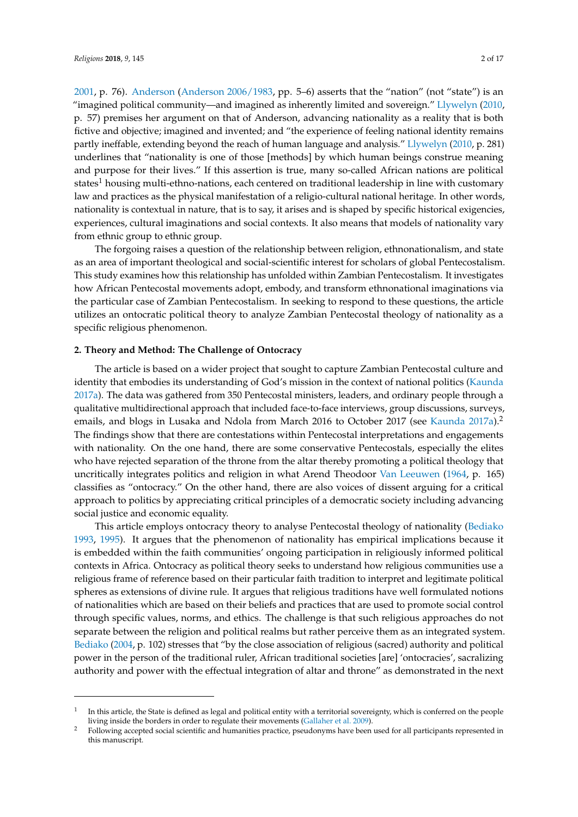[2001,](#page-14-0) p. 76). [Anderson](#page-14-1) [\(Anderson](#page-14-1) [2006/1983,](#page-14-1) pp. 5–6) asserts that the "nation" (not "state") is an "imagined political community—and imagined as inherently limited and sovereign." [Llywelyn](#page-15-1) [\(2010,](#page-15-1) p. 57) premises her argument on that of Anderson, advancing nationality as a reality that is both fictive and objective; imagined and invented; and "the experience of feeling national identity remains partly ineffable, extending beyond the reach of human language and analysis." [Llywelyn](#page-15-1) [\(2010,](#page-15-1) p. 281) underlines that "nationality is one of those [methods] by which human beings construe meaning and purpose for their lives." If this assertion is true, many so-called African nations are political states<sup>1</sup> housing multi-ethno-nations, each centered on traditional leadership in line with customary law and practices as the physical manifestation of a religio-cultural national heritage. In other words, nationality is contextual in nature, that is to say, it arises and is shaped by specific historical exigencies, experiences, cultural imaginations and social contexts. It also means that models of nationality vary from ethnic group to ethnic group.

The forgoing raises a question of the relationship between religion, ethnonationalism, and state as an area of important theological and social-scientific interest for scholars of global Pentecostalism. This study examines how this relationship has unfolded within Zambian Pentecostalism. It investigates how African Pentecostal movements adopt, embody, and transform ethnonational imaginations via the particular case of Zambian Pentecostalism. In seeking to respond to these questions, the article utilizes an ontocratic political theory to analyze Zambian Pentecostal theology of nationality as a specific religious phenomenon.

# **2. Theory and Method: The Challenge of Ontocracy**

The article is based on a wider project that sought to capture Zambian Pentecostal culture and identity that embodies its understanding of God's mission in the context of national politics [\(Kaunda](#page-15-2) [2017a\)](#page-15-2). The data was gathered from 350 Pentecostal ministers, leaders, and ordinary people through a qualitative multidirectional approach that included face-to-face interviews, group discussions, surveys, emails, and blogs in Lusaka and Ndola from March 2016 to October 2017 (see [Kaunda](#page-15-2) [2017a\)](#page-15-2).<sup>2</sup> The findings show that there are contestations within Pentecostal interpretations and engagements with nationality. On the one hand, there are some conservative Pentecostals, especially the elites who have rejected separation of the throne from the altar thereby promoting a political theology that uncritically integrates politics and religion in what Arend Theodoor [Van Leeuwen](#page-15-3) [\(1964,](#page-15-3) p. 165) classifies as "ontocracy." On the other hand, there are also voices of dissent arguing for a critical approach to politics by appreciating critical principles of a democratic society including advancing social justice and economic equality.

This article employs ontocracy theory to analyse Pentecostal theology of nationality [\(Bediako](#page-14-2) [1993,](#page-14-2) [1995\)](#page-14-3). It argues that the phenomenon of nationality has empirical implications because it is embedded within the faith communities' ongoing participation in religiously informed political contexts in Africa. Ontocracy as political theory seeks to understand how religious communities use a religious frame of reference based on their particular faith tradition to interpret and legitimate political spheres as extensions of divine rule. It argues that religious traditions have well formulated notions of nationalities which are based on their beliefs and practices that are used to promote social control through specific values, norms, and ethics. The challenge is that such religious approaches do not separate between the religion and political realms but rather perceive them as an integrated system. [Bediako](#page-14-4) [\(2004,](#page-14-4) p. 102) stresses that "by the close association of religious (sacred) authority and political power in the person of the traditional ruler, African traditional societies [are] 'ontocracies', sacralizing authority and power with the effectual integration of altar and throne" as demonstrated in the next

<sup>1</sup> In this article, the State is defined as legal and political entity with a territorial sovereignty, which is conferred on the people living inside the borders in order to regulate their movements [\(Gallaher et al.](#page-14-5) [2009\)](#page-14-5).

<sup>2</sup> Following accepted social scientific and humanities practice, pseudonyms have been used for all participants represented in this manuscript.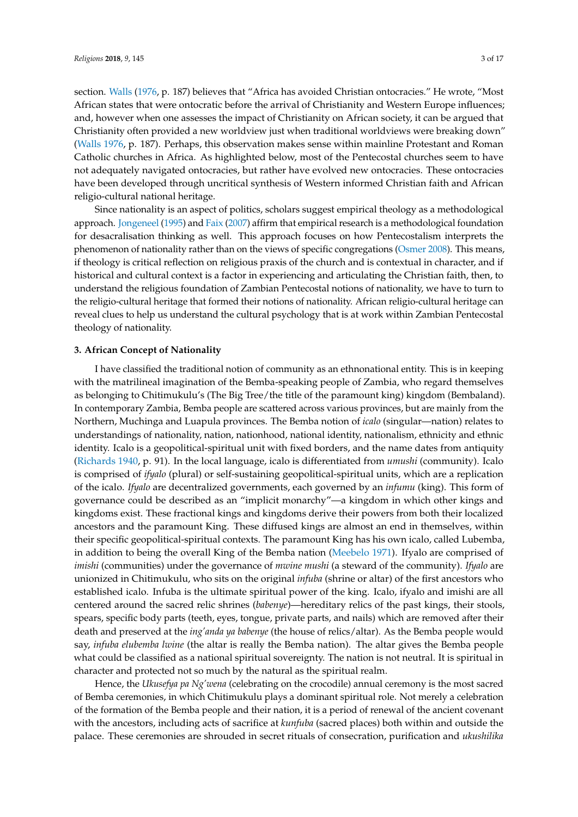section. [Walls](#page-16-2) [\(1976,](#page-16-2) p. 187) believes that "Africa has avoided Christian ontocracies." He wrote, "Most African states that were ontocratic before the arrival of Christianity and Western Europe influences; and, however when one assesses the impact of Christianity on African society, it can be argued that Christianity often provided a new worldview just when traditional worldviews were breaking down" [\(Walls](#page-16-2) [1976,](#page-16-2) p. 187). Perhaps, this observation makes sense within mainline Protestant and Roman Catholic churches in Africa. As highlighted below, most of the Pentecostal churches seem to have not adequately navigated ontocracies, but rather have evolved new ontocracies. These ontocracies have been developed through uncritical synthesis of Western informed Christian faith and African religio-cultural national heritage.

Since nationality is an aspect of politics, scholars suggest empirical theology as a methodological approach. [Jongeneel](#page-15-4) [\(1995\)](#page-15-4) and [Faix](#page-14-6) [\(2007\)](#page-14-6) affirm that empirical research is a methodological foundation for desacralisation thinking as well. This approach focuses on how Pentecostalism interprets the phenomenon of nationality rather than on the views of specific congregations [\(Osmer](#page-15-5) [2008\)](#page-15-5). This means, if theology is critical reflection on religious praxis of the church and is contextual in character, and if historical and cultural context is a factor in experiencing and articulating the Christian faith, then, to understand the religious foundation of Zambian Pentecostal notions of nationality, we have to turn to the religio-cultural heritage that formed their notions of nationality. African religio-cultural heritage can reveal clues to help us understand the cultural psychology that is at work within Zambian Pentecostal theology of nationality.

#### **3. African Concept of Nationality**

I have classified the traditional notion of community as an ethnonational entity. This is in keeping with the matrilineal imagination of the Bemba-speaking people of Zambia, who regard themselves as belonging to Chitimukulu's (The Big Tree/the title of the paramount king) kingdom (Bembaland). In contemporary Zambia, Bemba people are scattered across various provinces, but are mainly from the Northern, Muchinga and Luapula provinces. The Bemba notion of *icalo* (singular—nation) relates to understandings of nationality, nation, nationhood, national identity, nationalism, ethnicity and ethnic identity. Icalo is a geopolitical-spiritual unit with fixed borders, and the name dates from antiquity [\(Richards](#page-16-3) [1940,](#page-16-3) p. 91). In the local language, icalo is differentiated from *umushi* (community). Icalo is comprised of *ifyalo* (plural) or self-sustaining geopolitical-spiritual units, which are a replication of the icalo. *Ifyalo* are decentralized governments, each governed by an *infumu* (king). This form of governance could be described as an "implicit monarchy"—a kingdom in which other kings and kingdoms exist. These fractional kings and kingdoms derive their powers from both their localized ancestors and the paramount King. These diffused kings are almost an end in themselves, within their specific geopolitical-spiritual contexts. The paramount King has his own icalo, called Lubemba, in addition to being the overall King of the Bemba nation [\(Meebelo](#page-15-6) [1971\)](#page-15-6). Ifyalo are comprised of *imishi* (communities) under the governance of *mwine mushi* (a steward of the community). *Ifyalo* are unionized in Chitimukulu, who sits on the original *infuba* (shrine or altar) of the first ancestors who established icalo. Infuba is the ultimate spiritual power of the king. Icalo, ifyalo and imishi are all centered around the sacred relic shrines (*babenye*)—hereditary relics of the past kings, their stools, spears, specific body parts (teeth, eyes, tongue, private parts, and nails) which are removed after their death and preserved at the *ing'anda ya babenye* (the house of relics/altar). As the Bemba people would say, *infuba elubemba lwine* (the altar is really the Bemba nation). The altar gives the Bemba people what could be classified as a national spiritual sovereignty. The nation is not neutral. It is spiritual in character and protected not so much by the natural as the spiritual realm.

Hence, the *Ukusefya pa Ng'wena* (celebrating on the crocodile) annual ceremony is the most sacred of Bemba ceremonies, in which Chitimukulu plays a dominant spiritual role. Not merely a celebration of the formation of the Bemba people and their nation, it is a period of renewal of the ancient covenant with the ancestors, including acts of sacrifice at *kunfuba* (sacred places) both within and outside the palace. These ceremonies are shrouded in secret rituals of consecration, purification and *ukushilika*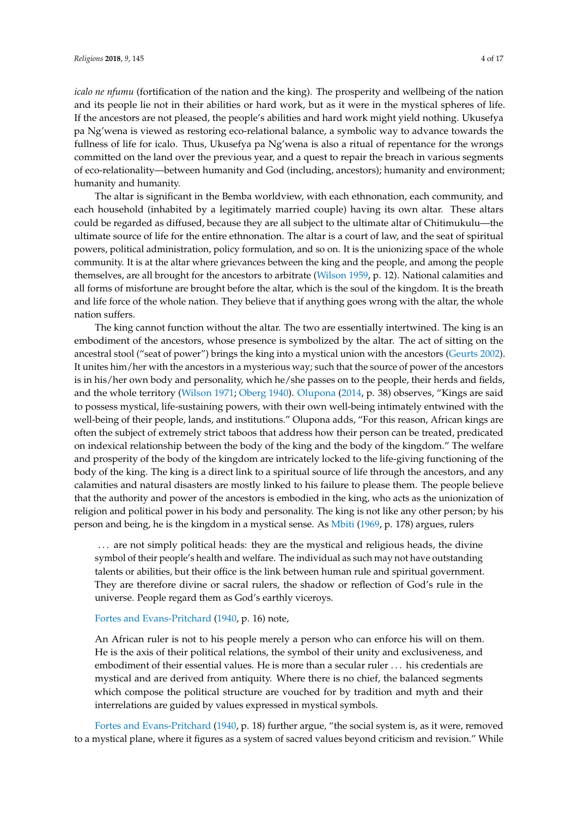*icalo ne nfumu* (fortification of the nation and the king). The prosperity and wellbeing of the nation and its people lie not in their abilities or hard work, but as it were in the mystical spheres of life. If the ancestors are not pleased, the people's abilities and hard work might yield nothing. Ukusefya pa Ng'wena is viewed as restoring eco-relational balance, a symbolic way to advance towards the fullness of life for icalo. Thus, Ukusefya pa Ng'wena is also a ritual of repentance for the wrongs committed on the land over the previous year, and a quest to repair the breach in various segments of eco-relationality—between humanity and God (including, ancestors); humanity and environment; humanity and humanity.

The altar is significant in the Bemba worldview, with each ethnonation, each community, and each household (inhabited by a legitimately married couple) having its own altar. These altars could be regarded as diffused, because they are all subject to the ultimate altar of Chitimukulu—the ultimate source of life for the entire ethnonation. The altar is a court of law, and the seat of spiritual powers, political administration, policy formulation, and so on. It is the unionizing space of the whole community. It is at the altar where grievances between the king and the people, and among the people themselves, are all brought for the ancestors to arbitrate [\(Wilson](#page-16-4) [1959,](#page-16-4) p. 12). National calamities and all forms of misfortune are brought before the altar, which is the soul of the kingdom. It is the breath and life force of the whole nation. They believe that if anything goes wrong with the altar, the whole nation suffers.

The king cannot function without the altar. The two are essentially intertwined. The king is an embodiment of the ancestors, whose presence is symbolized by the altar. The act of sitting on the ancestral stool ("seat of power") brings the king into a mystical union with the ancestors [\(Geurts](#page-14-7) [2002\)](#page-14-7). It unites him/her with the ancestors in a mysterious way; such that the source of power of the ancestors is in his/her own body and personality, which he/she passes on to the people, their herds and fields, and the whole territory [\(Wilson](#page-16-5) [1971;](#page-16-5) [Oberg](#page-15-7) [1940\)](#page-15-7). [Olupona](#page-15-8) [\(2014,](#page-15-8) p. 38) observes, "Kings are said to possess mystical, life-sustaining powers, with their own well-being intimately entwined with the well-being of their people, lands, and institutions." Olupona adds, "For this reason, African kings are often the subject of extremely strict taboos that address how their person can be treated, predicated on indexical relationship between the body of the king and the body of the kingdom." The welfare and prosperity of the body of the kingdom are intricately locked to the life-giving functioning of the body of the king. The king is a direct link to a spiritual source of life through the ancestors, and any calamities and natural disasters are mostly linked to his failure to please them. The people believe that the authority and power of the ancestors is embodied in the king, who acts as the unionization of religion and political power in his body and personality. The king is not like any other person; by his person and being, he is the kingdom in a mystical sense. As [Mbiti](#page-15-9) [\(1969,](#page-15-9) p. 178) argues, rulers

. . . are not simply political heads: they are the mystical and religious heads, the divine symbol of their people's health and welfare. The individual as such may not have outstanding talents or abilities, but their office is the link between human rule and spiritual government. They are therefore divine or sacral rulers, the shadow or reflection of God's rule in the universe. People regard them as God's earthly viceroys.

### [Fortes and Evans-Pritchard](#page-14-8) [\(1940,](#page-14-8) p. 16) note,

An African ruler is not to his people merely a person who can enforce his will on them. He is the axis of their political relations, the symbol of their unity and exclusiveness, and embodiment of their essential values. He is more than a secular ruler . . . his credentials are mystical and are derived from antiquity. Where there is no chief, the balanced segments which compose the political structure are vouched for by tradition and myth and their interrelations are guided by values expressed in mystical symbols.

[Fortes and Evans-Pritchard](#page-14-8) [\(1940,](#page-14-8) p. 18) further argue, "the social system is, as it were, removed to a mystical plane, where it figures as a system of sacred values beyond criticism and revision." While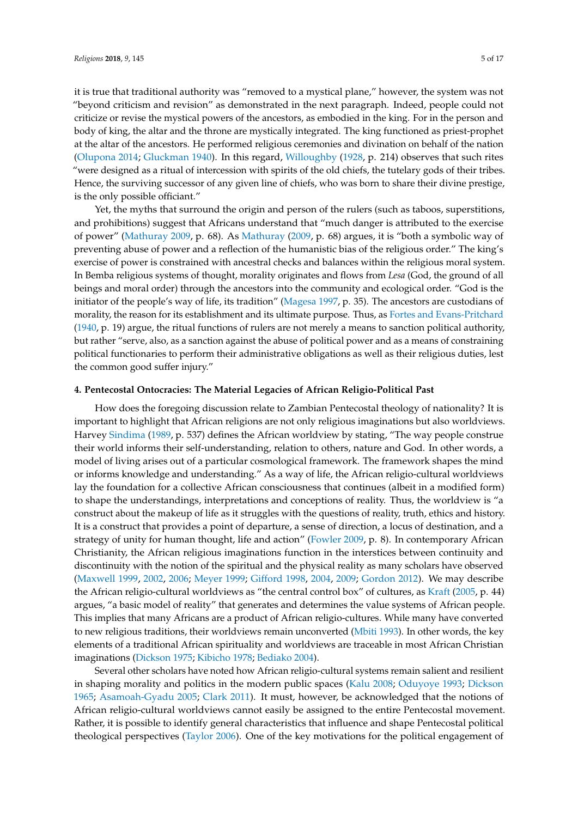it is true that traditional authority was "removed to a mystical plane," however, the system was not "beyond criticism and revision" as demonstrated in the next paragraph. Indeed, people could not criticize or revise the mystical powers of the ancestors, as embodied in the king. For in the person and body of king, the altar and the throne are mystically integrated. The king functioned as priest-prophet at the altar of the ancestors. He performed religious ceremonies and divination on behalf of the nation [\(Olupona](#page-15-8) [2014;](#page-15-8) [Gluckman](#page-14-9) [1940\)](#page-14-9). In this regard, [Willoughby](#page-16-6) [\(1928,](#page-16-6) p. 214) observes that such rites "were designed as a ritual of intercession with spirits of the old chiefs, the tutelary gods of their tribes. Hence, the surviving successor of any given line of chiefs, who was born to share their divine prestige, is the only possible officiant."

Yet, the myths that surround the origin and person of the rulers (such as taboos, superstitions, and prohibitions) suggest that Africans understand that "much danger is attributed to the exercise of power" [\(Mathuray](#page-15-10) [2009,](#page-15-10) p. 68). As [Mathuray](#page-15-10) [\(2009,](#page-15-10) p. 68) argues, it is "both a symbolic way of preventing abuse of power and a reflection of the humanistic bias of the religious order." The king's exercise of power is constrained with ancestral checks and balances within the religious moral system. In Bemba religious systems of thought, morality originates and flows from *Lesa* (God, the ground of all beings and moral order) through the ancestors into the community and ecological order. "God is the initiator of the people's way of life, its tradition" [\(Magesa](#page-15-11) [1997,](#page-15-11) p. 35). The ancestors are custodians of morality, the reason for its establishment and its ultimate purpose. Thus, as [Fortes and Evans-Pritchard](#page-14-8) [\(1940,](#page-14-8) p. 19) argue, the ritual functions of rulers are not merely a means to sanction political authority, but rather "serve, also, as a sanction against the abuse of political power and as a means of constraining political functionaries to perform their administrative obligations as well as their religious duties, lest the common good suffer injury."

#### **4. Pentecostal Ontocracies: The Material Legacies of African Religio-Political Past**

How does the foregoing discussion relate to Zambian Pentecostal theology of nationality? It is important to highlight that African religions are not only religious imaginations but also worldviews. Harvey [Sindima](#page-16-7) [\(1989,](#page-16-7) p. 537) defines the African worldview by stating, "The way people construe their world informs their self-understanding, relation to others, nature and God. In other words, a model of living arises out of a particular cosmological framework. The framework shapes the mind or informs knowledge and understanding." As a way of life, the African religio-cultural worldviews lay the foundation for a collective African consciousness that continues (albeit in a modified form) to shape the understandings, interpretations and conceptions of reality. Thus, the worldview is "a construct about the makeup of life as it struggles with the questions of reality, truth, ethics and history. It is a construct that provides a point of departure, a sense of direction, a locus of destination, and a strategy of unity for human thought, life and action" [\(Fowler](#page-14-10) [2009,](#page-14-10) p. 8). In contemporary African Christianity, the African religious imaginations function in the interstices between continuity and discontinuity with the notion of the spiritual and the physical reality as many scholars have observed [\(Maxwell](#page-15-12) [1999,](#page-15-12) [2002,](#page-15-13) [2006;](#page-15-14) [Meyer](#page-15-15) [1999;](#page-15-15) [Gifford](#page-14-11) [1998,](#page-14-11) [2004,](#page-14-12) [2009;](#page-14-13) [Gordon](#page-14-14) [2012\)](#page-14-14). We may describe the African religio-cultural worldviews as "the central control box" of cultures, as [Kraft](#page-15-16) [\(2005,](#page-15-16) p. 44) argues, "a basic model of reality" that generates and determines the value systems of African people. This implies that many Africans are a product of African religio-cultures. While many have converted to new religious traditions, their worldviews remain unconverted [\(Mbiti](#page-15-17) [1993\)](#page-15-17). In other words, the key elements of a traditional African spirituality and worldviews are traceable in most African Christian imaginations [\(Dickson](#page-14-15) [1975;](#page-14-15) [Kibicho](#page-15-18) [1978;](#page-15-18) [Bediako](#page-14-4) [2004\)](#page-14-4).

Several other scholars have noted how African religio-cultural systems remain salient and resilient in shaping morality and politics in the modern public spaces [\(Kalu](#page-15-19) [2008;](#page-15-19) [Oduyoye](#page-15-20) [1993;](#page-15-20) [Dickson](#page-14-16) [1965;](#page-14-16) [Asamoah-Gyadu](#page-14-17) [2005;](#page-14-17) [Clark](#page-14-18) [2011\)](#page-14-18). It must, however, be acknowledged that the notions of African religio-cultural worldviews cannot easily be assigned to the entire Pentecostal movement. Rather, it is possible to identify general characteristics that influence and shape Pentecostal political theological perspectives [\(Taylor](#page-16-8) [2006\)](#page-16-8). One of the key motivations for the political engagement of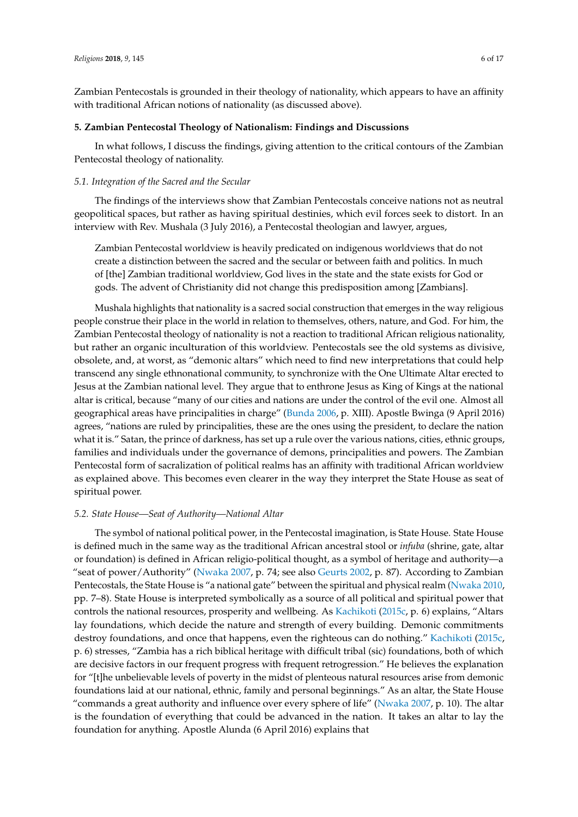Zambian Pentecostals is grounded in their theology of nationality, which appears to have an affinity with traditional African notions of nationality (as discussed above).

# **5. Zambian Pentecostal Theology of Nationalism: Findings and Discussions**

In what follows, I discuss the findings, giving attention to the critical contours of the Zambian Pentecostal theology of nationality.

#### *5.1. Integration of the Sacred and the Secular*

The findings of the interviews show that Zambian Pentecostals conceive nations not as neutral geopolitical spaces, but rather as having spiritual destinies, which evil forces seek to distort. In an interview with Rev. Mushala (3 July 2016), a Pentecostal theologian and lawyer, argues,

Zambian Pentecostal worldview is heavily predicated on indigenous worldviews that do not create a distinction between the sacred and the secular or between faith and politics. In much of [the] Zambian traditional worldview, God lives in the state and the state exists for God or gods. The advent of Christianity did not change this predisposition among [Zambians].

Mushala highlights that nationality is a sacred social construction that emerges in the way religious people construe their place in the world in relation to themselves, others, nature, and God. For him, the Zambian Pentecostal theology of nationality is not a reaction to traditional African religious nationality, but rather an organic inculturation of this worldview. Pentecostals see the old systems as divisive, obsolete, and, at worst, as "demonic altars" which need to find new interpretations that could help transcend any single ethnonational community, to synchronize with the One Ultimate Altar erected to Jesus at the Zambian national level. They argue that to enthrone Jesus as King of Kings at the national altar is critical, because "many of our cities and nations are under the control of the evil one. Almost all geographical areas have principalities in charge" [\(Bunda](#page-14-19) [2006,](#page-14-19) p. XIII). Apostle Bwinga (9 April 2016) agrees, "nations are ruled by principalities, these are the ones using the president, to declare the nation what it is." Satan, the prince of darkness, has set up a rule over the various nations, cities, ethnic groups, families and individuals under the governance of demons, principalities and powers. The Zambian Pentecostal form of sacralization of political realms has an affinity with traditional African worldview as explained above. This becomes even clearer in the way they interpret the State House as seat of spiritual power.

#### *5.2. State House—Seat of Authority—National Altar*

The symbol of national political power, in the Pentecostal imagination, is State House. State House is defined much in the same way as the traditional African ancestral stool or *infuba* (shrine, gate, altar or foundation) is defined in African religio-political thought, as a symbol of heritage and authority—a "seat of power/Authority" [\(Nwaka](#page-15-21) [2007,](#page-15-21) p. 74; see also [Geurts](#page-14-7) [2002,](#page-14-7) p. 87). According to Zambian Pentecostals, the State House is "a national gate" between the spiritual and physical realm [\(Nwaka](#page-15-22) [2010,](#page-15-22) pp. 7–8). State House is interpreted symbolically as a source of all political and spiritual power that controls the national resources, prosperity and wellbeing. As [Kachikoti](#page-15-23) [\(2015c,](#page-15-23) p. 6) explains, "Altars lay foundations, which decide the nature and strength of every building. Demonic commitments destroy foundations, and once that happens, even the righteous can do nothing." [Kachikoti](#page-15-23) [\(2015c,](#page-15-23) p. 6) stresses, "Zambia has a rich biblical heritage with difficult tribal (sic) foundations, both of which are decisive factors in our frequent progress with frequent retrogression." He believes the explanation for "[t]he unbelievable levels of poverty in the midst of plenteous natural resources arise from demonic foundations laid at our national, ethnic, family and personal beginnings." As an altar, the State House "commands a great authority and influence over every sphere of life" [\(Nwaka](#page-15-21) [2007,](#page-15-21) p. 10). The altar is the foundation of everything that could be advanced in the nation. It takes an altar to lay the foundation for anything. Apostle Alunda (6 April 2016) explains that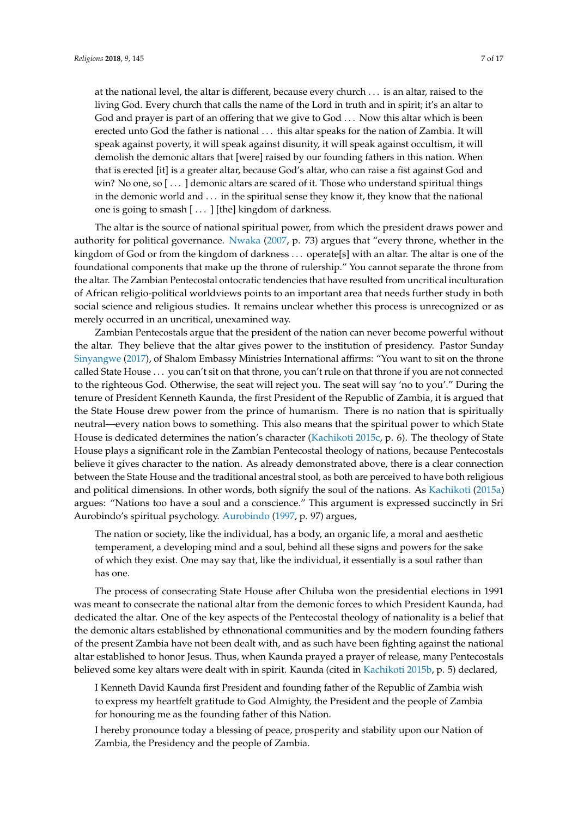at the national level, the altar is different, because every church . . . is an altar, raised to the living God. Every church that calls the name of the Lord in truth and in spirit; it's an altar to God and prayer is part of an offering that we give to God . . . Now this altar which is been erected unto God the father is national . . . this altar speaks for the nation of Zambia. It will speak against poverty, it will speak against disunity, it will speak against occultism, it will demolish the demonic altars that [were] raised by our founding fathers in this nation. When that is erected [it] is a greater altar, because God's altar, who can raise a fist against God and win? No one, so [...] demonic altars are scared of it. Those who understand spiritual things in the demonic world and . . . in the spiritual sense they know it, they know that the national one is going to smash [ . . . ] [the] kingdom of darkness.

The altar is the source of national spiritual power, from which the president draws power and authority for political governance. [Nwaka](#page-15-21) [\(2007,](#page-15-21) p. 73) argues that "every throne, whether in the kingdom of God or from the kingdom of darkness . . . operate[s] with an altar. The altar is one of the foundational components that make up the throne of rulership." You cannot separate the throne from the altar. The Zambian Pentecostal ontocratic tendencies that have resulted from uncritical inculturation of African religio-political worldviews points to an important area that needs further study in both social science and religious studies. It remains unclear whether this process is unrecognized or as merely occurred in an uncritical, unexamined way.

Zambian Pentecostals argue that the president of the nation can never become powerful without the altar. They believe that the altar gives power to the institution of presidency. Pastor Sunday [Sinyangwe](#page-16-9) [\(2017\)](#page-16-9), of Shalom Embassy Ministries International affirms: "You want to sit on the throne called State House . . . you can't sit on that throne, you can't rule on that throne if you are not connected to the righteous God. Otherwise, the seat will reject you. The seat will say 'no to you'." During the tenure of President Kenneth Kaunda, the first President of the Republic of Zambia, it is argued that the State House drew power from the prince of humanism. There is no nation that is spiritually neutral—every nation bows to something. This also means that the spiritual power to which State House is dedicated determines the nation's character [\(Kachikoti](#page-15-23) [2015c,](#page-15-23) p. 6). The theology of State House plays a significant role in the Zambian Pentecostal theology of nations, because Pentecostals believe it gives character to the nation. As already demonstrated above, there is a clear connection between the State House and the traditional ancestral stool, as both are perceived to have both religious and political dimensions. In other words, both signify the soul of the nations. As [Kachikoti](#page-15-24) [\(2015a\)](#page-15-24) argues: "Nations too have a soul and a conscience." This argument is expressed succinctly in Sri Aurobindo's spiritual psychology. [Aurobindo](#page-14-20) [\(1997,](#page-14-20) p. 97) argues,

The nation or society, like the individual, has a body, an organic life, a moral and aesthetic temperament, a developing mind and a soul, behind all these signs and powers for the sake of which they exist. One may say that, like the individual, it essentially is a soul rather than has one.

The process of consecrating State House after Chiluba won the presidential elections in 1991 was meant to consecrate the national altar from the demonic forces to which President Kaunda, had dedicated the altar. One of the key aspects of the Pentecostal theology of nationality is a belief that the demonic altars established by ethnonational communities and by the modern founding fathers of the present Zambia have not been dealt with, and as such have been fighting against the national altar established to honor Jesus. Thus, when Kaunda prayed a prayer of release, many Pentecostals believed some key altars were dealt with in spirit. Kaunda (cited in [Kachikoti](#page-15-25) [2015b,](#page-15-25) p. 5) declared,

I Kenneth David Kaunda first President and founding father of the Republic of Zambia wish to express my heartfelt gratitude to God Almighty, the President and the people of Zambia for honouring me as the founding father of this Nation.

I hereby pronounce today a blessing of peace, prosperity and stability upon our Nation of Zambia, the Presidency and the people of Zambia.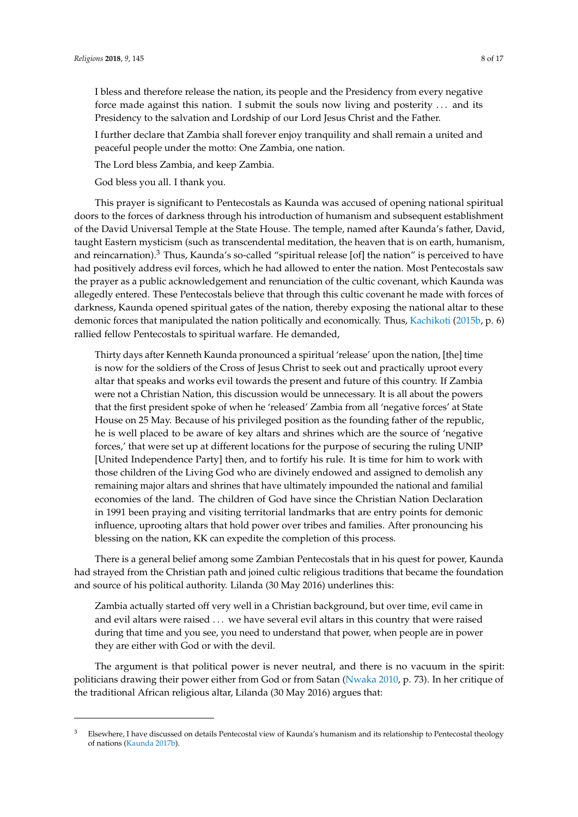I bless and therefore release the nation, its people and the Presidency from every negative force made against this nation. I submit the souls now living and posterity . . . and its Presidency to the salvation and Lordship of our Lord Jesus Christ and the Father.

I further declare that Zambia shall forever enjoy tranquility and shall remain a united and peaceful people under the motto: One Zambia, one nation.

The Lord bless Zambia, and keep Zambia.

God bless you all. I thank you.

This prayer is significant to Pentecostals as Kaunda was accused of opening national spiritual doors to the forces of darkness through his introduction of humanism and subsequent establishment of the David Universal Temple at the State House. The temple, named after Kaunda's father, David, taught Eastern mysticism (such as transcendental meditation, the heaven that is on earth, humanism, and reincarnation).<sup>3</sup> Thus, Kaunda's so-called "spiritual release [of] the nation" is perceived to have had positively address evil forces, which he had allowed to enter the nation. Most Pentecostals saw the prayer as a public acknowledgement and renunciation of the cultic covenant, which Kaunda was allegedly entered. These Pentecostals believe that through this cultic covenant he made with forces of darkness, Kaunda opened spiritual gates of the nation, thereby exposing the national altar to these demonic forces that manipulated the nation politically and economically. Thus, [Kachikoti](#page-15-25) [\(2015b,](#page-15-25) p. 6) rallied fellow Pentecostals to spiritual warfare. He demanded,

Thirty days after Kenneth Kaunda pronounced a spiritual 'release' upon the nation, [the] time is now for the soldiers of the Cross of Jesus Christ to seek out and practically uproot every altar that speaks and works evil towards the present and future of this country. If Zambia were not a Christian Nation, this discussion would be unnecessary. It is all about the powers that the first president spoke of when he 'released' Zambia from all 'negative forces' at State House on 25 May. Because of his privileged position as the founding father of the republic, he is well placed to be aware of key altars and shrines which are the source of 'negative forces,' that were set up at different locations for the purpose of securing the ruling UNIP [United Independence Party] then, and to fortify his rule. It is time for him to work with those children of the Living God who are divinely endowed and assigned to demolish any remaining major altars and shrines that have ultimately impounded the national and familial economies of the land. The children of God have since the Christian Nation Declaration in 1991 been praying and visiting territorial landmarks that are entry points for demonic influence, uprooting altars that hold power over tribes and families. After pronouncing his blessing on the nation, KK can expedite the completion of this process.

There is a general belief among some Zambian Pentecostals that in his quest for power, Kaunda had strayed from the Christian path and joined cultic religious traditions that became the foundation and source of his political authority. Lilanda (30 May 2016) underlines this:

Zambia actually started off very well in a Christian background, but over time, evil came in and evil altars were raised ... we have several evil altars in this country that were raised during that time and you see, you need to understand that power, when people are in power they are either with God or with the devil.

The argument is that political power is never neutral, and there is no vacuum in the spirit: politicians drawing their power either from God or from Satan [\(Nwaka](#page-15-22) [2010,](#page-15-22) p. 73). In her critique of the traditional African religious altar, Lilanda (30 May 2016) argues that:

<sup>&</sup>lt;sup>3</sup> Elsewhere, I have discussed on details Pentecostal view of Kaunda's humanism and its relationship to Pentecostal theology of nations [\(Kaunda](#page-15-26) [2017b\)](#page-15-26).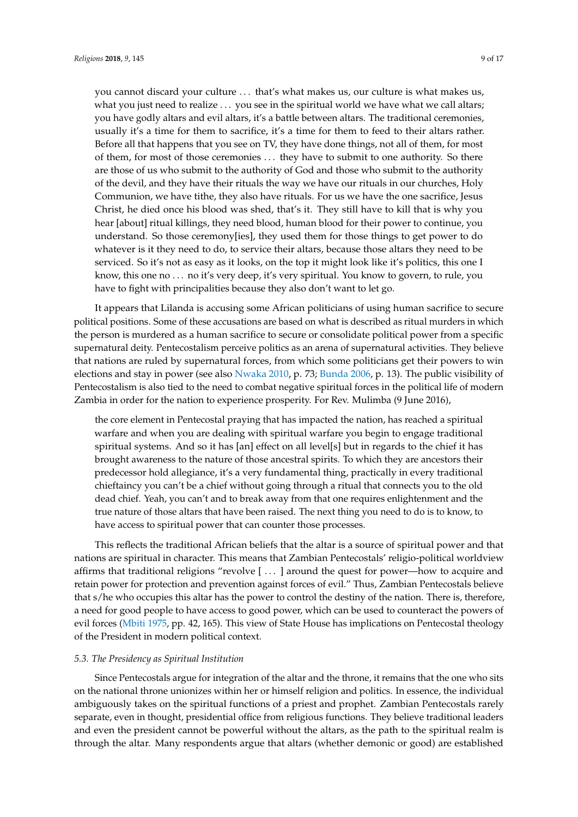you cannot discard your culture . . . that's what makes us, our culture is what makes us, what you just need to realize ... you see in the spiritual world we have what we call altars; you have godly altars and evil altars, it's a battle between altars. The traditional ceremonies, usually it's a time for them to sacrifice, it's a time for them to feed to their altars rather. Before all that happens that you see on TV, they have done things, not all of them, for most of them, for most of those ceremonies . . . they have to submit to one authority. So there are those of us who submit to the authority of God and those who submit to the authority of the devil, and they have their rituals the way we have our rituals in our churches, Holy Communion, we have tithe, they also have rituals. For us we have the one sacrifice, Jesus Christ, he died once his blood was shed, that's it. They still have to kill that is why you hear [about] ritual killings, they need blood, human blood for their power to continue, you understand. So those ceremony[ies], they used them for those things to get power to do whatever is it they need to do, to service their altars, because those altars they need to be serviced. So it's not as easy as it looks, on the top it might look like it's politics, this one I know, this one no . . . no it's very deep, it's very spiritual. You know to govern, to rule, you have to fight with principalities because they also don't want to let go.

It appears that Lilanda is accusing some African politicians of using human sacrifice to secure political positions. Some of these accusations are based on what is described as ritual murders in which the person is murdered as a human sacrifice to secure or consolidate political power from a specific supernatural deity. Pentecostalism perceive politics as an arena of supernatural activities. They believe that nations are ruled by supernatural forces, from which some politicians get their powers to win elections and stay in power (see also [Nwaka](#page-15-22) [2010,](#page-15-22) p. 73; [Bunda](#page-14-19) [2006,](#page-14-19) p. 13). The public visibility of Pentecostalism is also tied to the need to combat negative spiritual forces in the political life of modern Zambia in order for the nation to experience prosperity. For Rev. Mulimba (9 June 2016),

the core element in Pentecostal praying that has impacted the nation, has reached a spiritual warfare and when you are dealing with spiritual warfare you begin to engage traditional spiritual systems. And so it has [an] effect on all level[s] but in regards to the chief it has brought awareness to the nature of those ancestral spirits. To which they are ancestors their predecessor hold allegiance, it's a very fundamental thing, practically in every traditional chieftaincy you can't be a chief without going through a ritual that connects you to the old dead chief. Yeah, you can't and to break away from that one requires enlightenment and the true nature of those altars that have been raised. The next thing you need to do is to know, to have access to spiritual power that can counter those processes.

This reflects the traditional African beliefs that the altar is a source of spiritual power and that nations are spiritual in character. This means that Zambian Pentecostals' religio-political worldview affirms that traditional religions "revolve [ . . . ] around the quest for power—how to acquire and retain power for protection and prevention against forces of evil." Thus, Zambian Pentecostals believe that s/he who occupies this altar has the power to control the destiny of the nation. There is, therefore, a need for good people to have access to good power, which can be used to counteract the powers of evil forces [\(Mbiti](#page-15-27) [1975,](#page-15-27) pp. 42, 165). This view of State House has implications on Pentecostal theology of the President in modern political context.

## *5.3. The Presidency as Spiritual Institution*

Since Pentecostals argue for integration of the altar and the throne, it remains that the one who sits on the national throne unionizes within her or himself religion and politics. In essence, the individual ambiguously takes on the spiritual functions of a priest and prophet. Zambian Pentecostals rarely separate, even in thought, presidential office from religious functions. They believe traditional leaders and even the president cannot be powerful without the altars, as the path to the spiritual realm is through the altar. Many respondents argue that altars (whether demonic or good) are established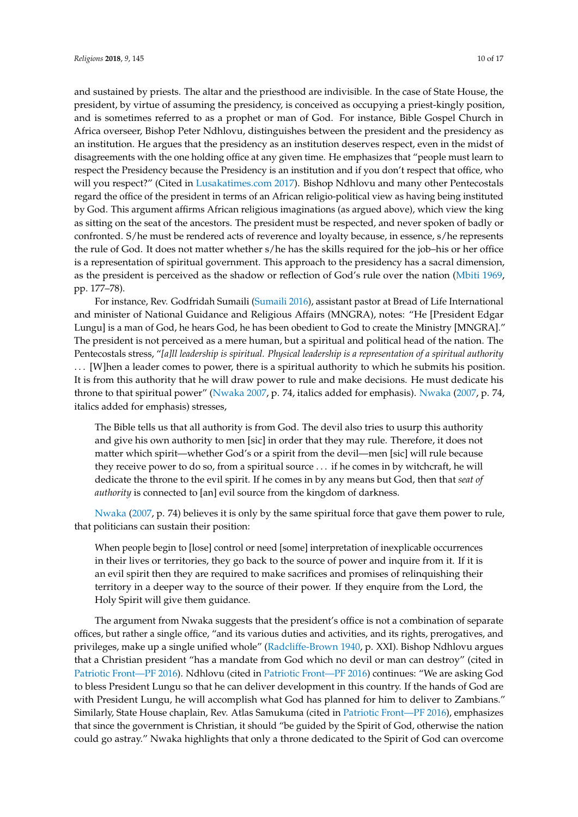and sustained by priests. The altar and the priesthood are indivisible. In the case of State House, the president, by virtue of assuming the presidency, is conceived as occupying a priest-kingly position, and is sometimes referred to as a prophet or man of God. For instance, Bible Gospel Church in Africa overseer, Bishop Peter Ndhlovu, distinguishes between the president and the presidency as an institution. He argues that the presidency as an institution deserves respect, even in the midst of disagreements with the one holding office at any given time. He emphasizes that "people must learn to respect the Presidency because the Presidency is an institution and if you don't respect that office, who will you respect?" (Cited in [Lusakatimes.com](#page-15-28) [2017\)](#page-15-28). Bishop Ndhlovu and many other Pentecostals regard the office of the president in terms of an African religio-political view as having being instituted by God. This argument affirms African religious imaginations (as argued above), which view the king as sitting on the seat of the ancestors. The president must be respected, and never spoken of badly or confronted. S/he must be rendered acts of reverence and loyalty because, in essence, s/he represents the rule of God. It does not matter whether s/he has the skills required for the job–his or her office is a representation of spiritual government. This approach to the presidency has a sacral dimension, as the president is perceived as the shadow or reflection of God's rule over the nation [\(Mbiti](#page-15-9) [1969,](#page-15-9) pp. 177–78).

For instance, Rev. Godfridah Sumaili [\(Sumaili](#page-16-10) [2016\)](#page-16-10), assistant pastor at Bread of Life International and minister of National Guidance and Religious Affairs (MNGRA), notes: "He [President Edgar Lungu] is a man of God, he hears God, he has been obedient to God to create the Ministry [MNGRA]." The president is not perceived as a mere human, but a spiritual and political head of the nation. The Pentecostals stress, "*[a]ll leadership is spiritual. Physical leadership is a representation of a spiritual authority* . . . [W]hen a leader comes to power, there is a spiritual authority to which he submits his position. It is from this authority that he will draw power to rule and make decisions. He must dedicate his throne to that spiritual power" [\(Nwaka](#page-15-21) [2007,](#page-15-21) p. 74, italics added for emphasis). [Nwaka](#page-15-21) [\(2007,](#page-15-21) p. 74, italics added for emphasis) stresses,

The Bible tells us that all authority is from God. The devil also tries to usurp this authority and give his own authority to men [sic] in order that they may rule. Therefore, it does not matter which spirit—whether God's or a spirit from the devil—men [sic] will rule because they receive power to do so, from a spiritual source . . . if he comes in by witchcraft, he will dedicate the throne to the evil spirit. If he comes in by any means but God, then that *seat of authority* is connected to [an] evil source from the kingdom of darkness.

[Nwaka](#page-15-21) [\(2007,](#page-15-21) p. 74) believes it is only by the same spiritual force that gave them power to rule, that politicians can sustain their position:

When people begin to [lose] control or need [some] interpretation of inexplicable occurrences in their lives or territories, they go back to the source of power and inquire from it. If it is an evil spirit then they are required to make sacrifices and promises of relinquishing their territory in a deeper way to the source of their power. If they enquire from the Lord, the Holy Spirit will give them guidance.

The argument from Nwaka suggests that the president's office is not a combination of separate offices, but rather a single office, "and its various duties and activities, and its rights, prerogatives, and privileges, make up a single unified whole" [\(Radcliffe-Brown](#page-16-11) [1940,](#page-16-11) p. XXI). Bishop Ndhlovu argues that a Christian president "has a mandate from God which no devil or man can destroy" (cited in [Patriotic Front—PF](#page-15-29) [2016\)](#page-15-29). Ndhlovu (cited in [Patriotic Front—PF](#page-15-29) [2016\)](#page-15-29) continues: "We are asking God to bless President Lungu so that he can deliver development in this country. If the hands of God are with President Lungu, he will accomplish what God has planned for him to deliver to Zambians." Similarly, State House chaplain, Rev. Atlas Samukuma (cited in [Patriotic Front—PF](#page-15-29) [2016\)](#page-15-29), emphasizes that since the government is Christian, it should "be guided by the Spirit of God, otherwise the nation could go astray." Nwaka highlights that only a throne dedicated to the Spirit of God can overcome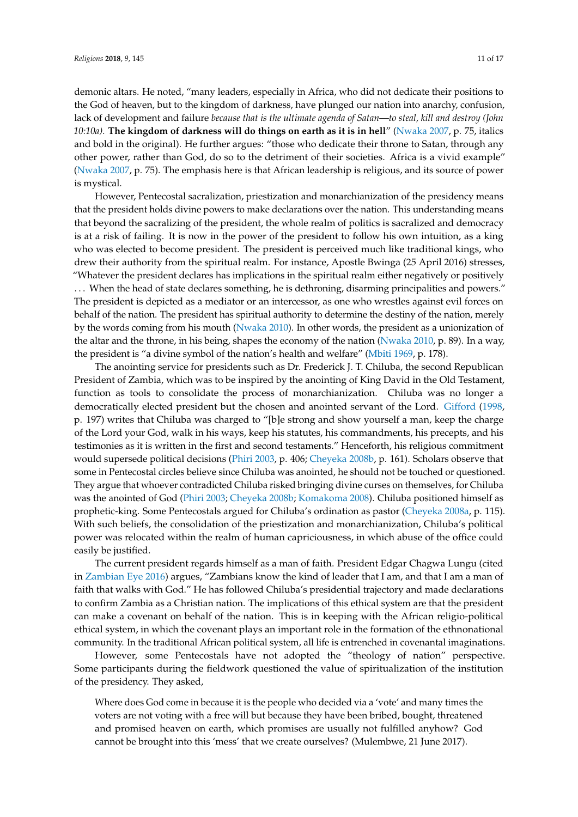demonic altars. He noted, "many leaders, especially in Africa, who did not dedicate their positions to the God of heaven, but to the kingdom of darkness, have plunged our nation into anarchy, confusion, lack of development and failure *because that is the ultimate agenda of Satan—to steal, kill and destroy (John 10:10a).* **The kingdom of darkness will do things on earth as it is in hell**" [\(Nwaka](#page-15-21) [2007,](#page-15-21) p. 75, italics and bold in the original). He further argues: "those who dedicate their throne to Satan, through any other power, rather than God, do so to the detriment of their societies. Africa is a vivid example" [\(Nwaka](#page-15-21) [2007,](#page-15-21) p. 75). The emphasis here is that African leadership is religious, and its source of power is mystical.

However, Pentecostal sacralization, priestization and monarchianization of the presidency means that the president holds divine powers to make declarations over the nation. This understanding means that beyond the sacralizing of the president, the whole realm of politics is sacralized and democracy is at a risk of failing. It is now in the power of the president to follow his own intuition, as a king who was elected to become president. The president is perceived much like traditional kings, who drew their authority from the spiritual realm. For instance, Apostle Bwinga (25 April 2016) stresses, "Whatever the president declares has implications in the spiritual realm either negatively or positively

. . . When the head of state declares something, he is dethroning, disarming principalities and powers." The president is depicted as a mediator or an intercessor, as one who wrestles against evil forces on behalf of the nation. The president has spiritual authority to determine the destiny of the nation, merely by the words coming from his mouth [\(Nwaka](#page-15-22) [2010\)](#page-15-22). In other words, the president as a unionization of the altar and the throne, in his being, shapes the economy of the nation [\(Nwaka](#page-15-22) [2010,](#page-15-22) p. 89). In a way, the president is "a divine symbol of the nation's health and welfare" [\(Mbiti](#page-15-9) [1969,](#page-15-9) p. 178).

The anointing service for presidents such as Dr. Frederick J. T. Chiluba, the second Republican President of Zambia, which was to be inspired by the anointing of King David in the Old Testament, function as tools to consolidate the process of monarchianization. Chiluba was no longer a democratically elected president but the chosen and anointed servant of the Lord. [Gifford](#page-14-11) [\(1998,](#page-14-11) p. 197) writes that Chiluba was charged to "[b]e strong and show yourself a man, keep the charge of the Lord your God, walk in his ways, keep his statutes, his commandments, his precepts, and his testimonies as it is written in the first and second testaments." Henceforth, his religious commitment would supersede political decisions [\(Phiri](#page-15-30) [2003,](#page-15-30) p. 406; [Cheyeka](#page-14-21) [2008b,](#page-14-21) p. 161). Scholars observe that some in Pentecostal circles believe since Chiluba was anointed, he should not be touched or questioned. They argue that whoever contradicted Chiluba risked bringing divine curses on themselves, for Chiluba was the anointed of God [\(Phiri](#page-15-30) [2003;](#page-15-30) [Cheyeka](#page-14-21) [2008b;](#page-14-21) [Komakoma](#page-15-31) [2008\)](#page-15-31). Chiluba positioned himself as prophetic-king. Some Pentecostals argued for Chiluba's ordination as pastor [\(Cheyeka](#page-14-22) [2008a,](#page-14-22) p. 115). With such beliefs, the consolidation of the priestization and monarchianization, Chiluba's political power was relocated within the realm of human capriciousness, in which abuse of the office could easily be justified.

The current president regards himself as a man of faith. President Edgar Chagwa Lungu (cited in [Zambian Eye](#page-16-12) [2016\)](#page-16-12) argues, "Zambians know the kind of leader that I am, and that I am a man of faith that walks with God." He has followed Chiluba's presidential trajectory and made declarations to confirm Zambia as a Christian nation. The implications of this ethical system are that the president can make a covenant on behalf of the nation. This is in keeping with the African religio-political ethical system, in which the covenant plays an important role in the formation of the ethnonational community. In the traditional African political system, all life is entrenched in covenantal imaginations.

However, some Pentecostals have not adopted the "theology of nation" perspective. Some participants during the fieldwork questioned the value of spiritualization of the institution of the presidency. They asked,

Where does God come in because it is the people who decided via a 'vote' and many times the voters are not voting with a free will but because they have been bribed, bought, threatened and promised heaven on earth, which promises are usually not fulfilled anyhow? God cannot be brought into this 'mess' that we create ourselves? (Mulembwe, 21 June 2017).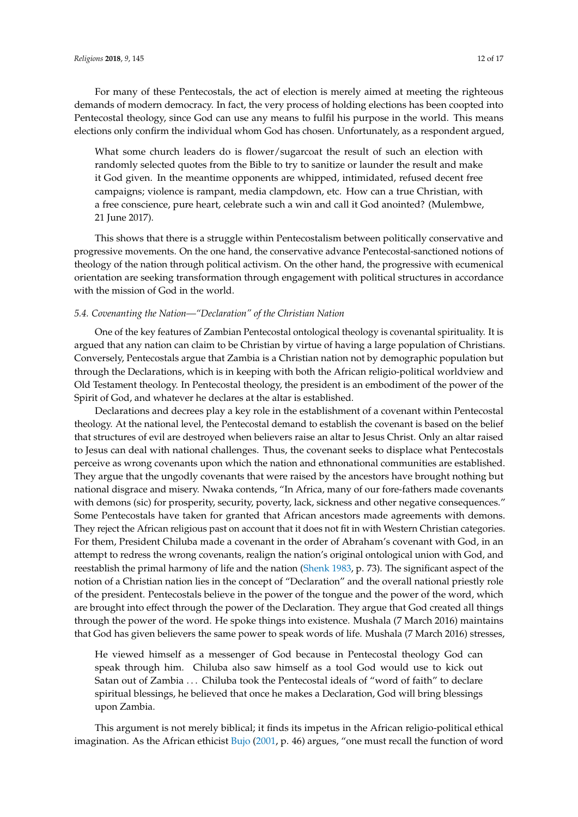For many of these Pentecostals, the act of election is merely aimed at meeting the righteous demands of modern democracy. In fact, the very process of holding elections has been coopted into Pentecostal theology, since God can use any means to fulfil his purpose in the world. This means elections only confirm the individual whom God has chosen. Unfortunately, as a respondent argued,

What some church leaders do is flower/sugarcoat the result of such an election with randomly selected quotes from the Bible to try to sanitize or launder the result and make it God given. In the meantime opponents are whipped, intimidated, refused decent free campaigns; violence is rampant, media clampdown, etc. How can a true Christian, with a free conscience, pure heart, celebrate such a win and call it God anointed? (Mulembwe, 21 June 2017).

This shows that there is a struggle within Pentecostalism between politically conservative and progressive movements. On the one hand, the conservative advance Pentecostal-sanctioned notions of theology of the nation through political activism. On the other hand, the progressive with ecumenical orientation are seeking transformation through engagement with political structures in accordance with the mission of God in the world.

## *5.4. Covenanting the Nation—"Declaration" of the Christian Nation*

One of the key features of Zambian Pentecostal ontological theology is covenantal spirituality. It is argued that any nation can claim to be Christian by virtue of having a large population of Christians. Conversely, Pentecostals argue that Zambia is a Christian nation not by demographic population but through the Declarations, which is in keeping with both the African religio-political worldview and Old Testament theology. In Pentecostal theology, the president is an embodiment of the power of the Spirit of God, and whatever he declares at the altar is established.

Declarations and decrees play a key role in the establishment of a covenant within Pentecostal theology. At the national level, the Pentecostal demand to establish the covenant is based on the belief that structures of evil are destroyed when believers raise an altar to Jesus Christ. Only an altar raised to Jesus can deal with national challenges. Thus, the covenant seeks to displace what Pentecostals perceive as wrong covenants upon which the nation and ethnonational communities are established. They argue that the ungodly covenants that were raised by the ancestors have brought nothing but national disgrace and misery. Nwaka contends, "In Africa, many of our fore-fathers made covenants with demons (sic) for prosperity, security, poverty, lack, sickness and other negative consequences." Some Pentecostals have taken for granted that African ancestors made agreements with demons. They reject the African religious past on account that it does not fit in with Western Christian categories. For them, President Chiluba made a covenant in the order of Abraham's covenant with God, in an attempt to redress the wrong covenants, realign the nation's original ontological union with God, and reestablish the primal harmony of life and the nation [\(Shenk](#page-16-13) [1983,](#page-16-13) p. 73). The significant aspect of the notion of a Christian nation lies in the concept of "Declaration" and the overall national priestly role of the president. Pentecostals believe in the power of the tongue and the power of the word, which are brought into effect through the power of the Declaration. They argue that God created all things through the power of the word. He spoke things into existence. Mushala (7 March 2016) maintains that God has given believers the same power to speak words of life. Mushala (7 March 2016) stresses,

He viewed himself as a messenger of God because in Pentecostal theology God can speak through him. Chiluba also saw himself as a tool God would use to kick out Satan out of Zambia ... Chiluba took the Pentecostal ideals of "word of faith" to declare spiritual blessings, he believed that once he makes a Declaration, God will bring blessings upon Zambia.

This argument is not merely biblical; it finds its impetus in the African religio-political ethical imagination. As the African ethicist [Bujo](#page-14-23) [\(2001,](#page-14-23) p. 46) argues, "one must recall the function of word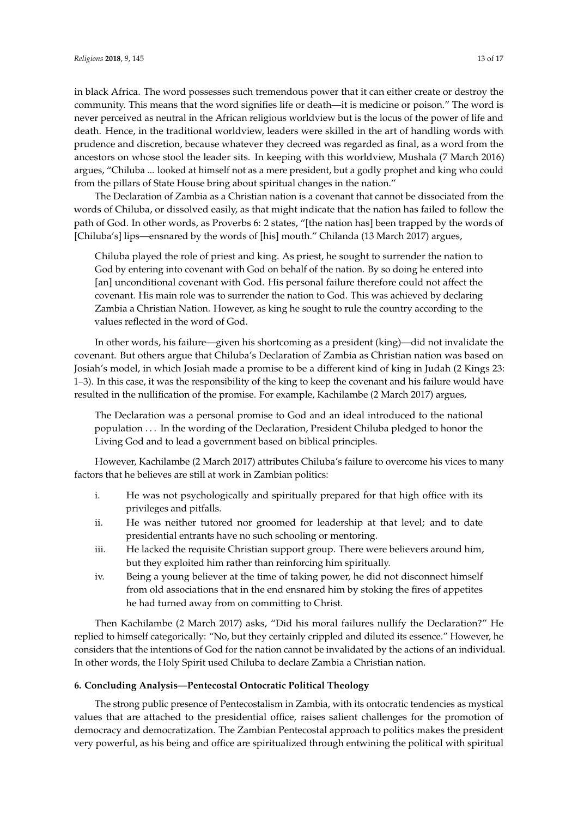in black Africa. The word possesses such tremendous power that it can either create or destroy the community. This means that the word signifies life or death—it is medicine or poison." The word is never perceived as neutral in the African religious worldview but is the locus of the power of life and death. Hence, in the traditional worldview, leaders were skilled in the art of handling words with prudence and discretion, because whatever they decreed was regarded as final, as a word from the ancestors on whose stool the leader sits. In keeping with this worldview, Mushala (7 March 2016) argues, "Chiluba ... looked at himself not as a mere president, but a godly prophet and king who could from the pillars of State House bring about spiritual changes in the nation."

The Declaration of Zambia as a Christian nation is a covenant that cannot be dissociated from the words of Chiluba, or dissolved easily, as that might indicate that the nation has failed to follow the path of God. In other words, as Proverbs 6: 2 states, "[the nation has] been trapped by the words of [Chiluba's] lips—ensnared by the words of [his] mouth." Chilanda (13 March 2017) argues,

Chiluba played the role of priest and king. As priest, he sought to surrender the nation to God by entering into covenant with God on behalf of the nation. By so doing he entered into [an] unconditional covenant with God. His personal failure therefore could not affect the covenant. His main role was to surrender the nation to God. This was achieved by declaring Zambia a Christian Nation. However, as king he sought to rule the country according to the values reflected in the word of God.

In other words, his failure—given his shortcoming as a president (king)—did not invalidate the covenant. But others argue that Chiluba's Declaration of Zambia as Christian nation was based on Josiah's model, in which Josiah made a promise to be a different kind of king in Judah (2 Kings 23: 1–3). In this case, it was the responsibility of the king to keep the covenant and his failure would have resulted in the nullification of the promise. For example, Kachilambe (2 March 2017) argues,

The Declaration was a personal promise to God and an ideal introduced to the national population . . . In the wording of the Declaration, President Chiluba pledged to honor the Living God and to lead a government based on biblical principles.

However, Kachilambe (2 March 2017) attributes Chiluba's failure to overcome his vices to many factors that he believes are still at work in Zambian politics:

- i. He was not psychologically and spiritually prepared for that high office with its privileges and pitfalls.
- ii. He was neither tutored nor groomed for leadership at that level; and to date presidential entrants have no such schooling or mentoring.
- iii. He lacked the requisite Christian support group. There were believers around him, but they exploited him rather than reinforcing him spiritually.
- iv. Being a young believer at the time of taking power, he did not disconnect himself from old associations that in the end ensnared him by stoking the fires of appetites he had turned away from on committing to Christ.

Then Kachilambe (2 March 2017) asks, "Did his moral failures nullify the Declaration?" He replied to himself categorically: "No, but they certainly crippled and diluted its essence." However, he considers that the intentions of God for the nation cannot be invalidated by the actions of an individual. In other words, the Holy Spirit used Chiluba to declare Zambia a Christian nation.

## **6. Concluding Analysis—Pentecostal Ontocratic Political Theology**

The strong public presence of Pentecostalism in Zambia, with its ontocratic tendencies as mystical values that are attached to the presidential office, raises salient challenges for the promotion of democracy and democratization. The Zambian Pentecostal approach to politics makes the president very powerful, as his being and office are spiritualized through entwining the political with spiritual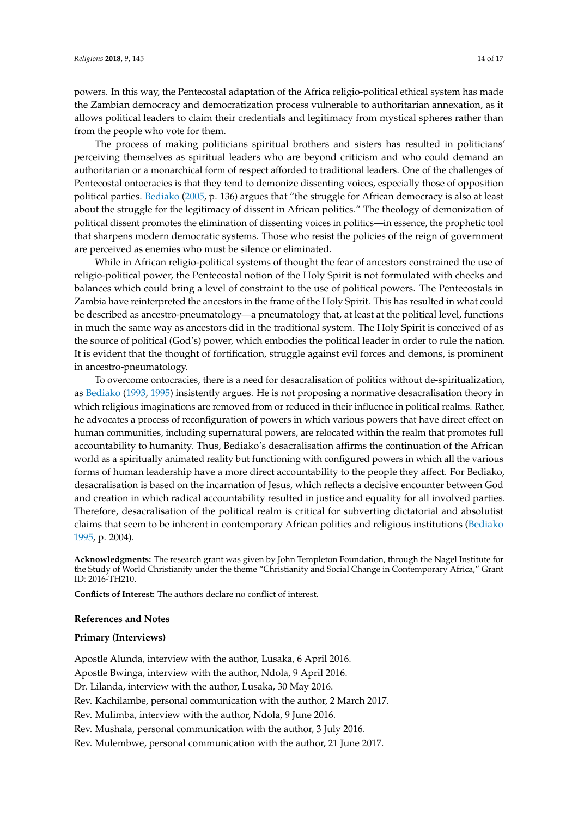powers. In this way, the Pentecostal adaptation of the Africa religio-political ethical system has made the Zambian democracy and democratization process vulnerable to authoritarian annexation, as it allows political leaders to claim their credentials and legitimacy from mystical spheres rather than from the people who vote for them.

The process of making politicians spiritual brothers and sisters has resulted in politicians' perceiving themselves as spiritual leaders who are beyond criticism and who could demand an authoritarian or a monarchical form of respect afforded to traditional leaders. One of the challenges of Pentecostal ontocracies is that they tend to demonize dissenting voices, especially those of opposition political parties. [Bediako](#page-14-24) [\(2005,](#page-14-24) p. 136) argues that "the struggle for African democracy is also at least about the struggle for the legitimacy of dissent in African politics." The theology of demonization of political dissent promotes the elimination of dissenting voices in politics—in essence, the prophetic tool that sharpens modern democratic systems. Those who resist the policies of the reign of government are perceived as enemies who must be silence or eliminated.

While in African religio-political systems of thought the fear of ancestors constrained the use of religio-political power, the Pentecostal notion of the Holy Spirit is not formulated with checks and balances which could bring a level of constraint to the use of political powers. The Pentecostals in Zambia have reinterpreted the ancestors in the frame of the Holy Spirit. This has resulted in what could be described as ancestro-pneumatology—a pneumatology that, at least at the political level, functions in much the same way as ancestors did in the traditional system. The Holy Spirit is conceived of as the source of political (God's) power, which embodies the political leader in order to rule the nation. It is evident that the thought of fortification, struggle against evil forces and demons, is prominent in ancestro-pneumatology.

To overcome ontocracies, there is a need for desacralisation of politics without de-spiritualization, as [Bediako](#page-14-2) [\(1993,](#page-14-2) [1995\)](#page-14-3) insistently argues. He is not proposing a normative desacralisation theory in which religious imaginations are removed from or reduced in their influence in political realms. Rather, he advocates a process of reconfiguration of powers in which various powers that have direct effect on human communities, including supernatural powers, are relocated within the realm that promotes full accountability to humanity. Thus, Bediako's desacralisation affirms the continuation of the African world as a spiritually animated reality but functioning with configured powers in which all the various forms of human leadership have a more direct accountability to the people they affect. For Bediako, desacralisation is based on the incarnation of Jesus, which reflects a decisive encounter between God and creation in which radical accountability resulted in justice and equality for all involved parties. Therefore, desacralisation of the political realm is critical for subverting dictatorial and absolutist claims that seem to be inherent in contemporary African politics and religious institutions [\(Bediako](#page-14-3) [1995,](#page-14-3) p. 2004).

**Acknowledgments:** The research grant was given by John Templeton Foundation, through the Nagel Institute for the Study of World Christianity under the theme "Christianity and Social Change in Contemporary Africa," Grant ID: 2016-TH210.

**Conflicts of Interest:** The authors declare no conflict of interest.

#### **References and Notes**

#### **Primary (Interviews)**

Apostle Alunda, interview with the author, Lusaka, 6 April 2016. Apostle Bwinga, interview with the author, Ndola, 9 April 2016. Dr. Lilanda, interview with the author, Lusaka, 30 May 2016. Rev. Kachilambe, personal communication with the author, 2 March 2017. Rev. Mulimba, interview with the author, Ndola, 9 June 2016. Rev. Mushala, personal communication with the author, 3 July 2016. Rev. Mulembwe, personal communication with the author, 21 June 2017.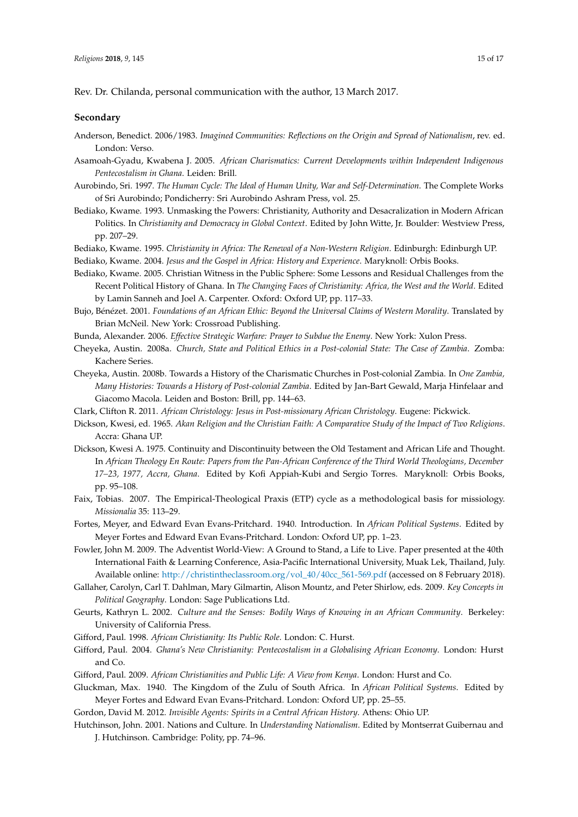Rev. Dr. Chilanda, personal communication with the author, 13 March 2017.

#### **Secondary**

- <span id="page-14-1"></span>Anderson, Benedict. 2006/1983. *Imagined Communities: Reflections on the Origin and Spread of Nationalism*, rev. ed. London: Verso.
- <span id="page-14-17"></span>Asamoah-Gyadu, Kwabena J. 2005. *African Charismatics: Current Developments within Independent Indigenous Pentecostalism in Ghana*. Leiden: Brill.
- <span id="page-14-20"></span>Aurobindo, Sri. 1997. *The Human Cycle: The Ideal of Human Unity, War and Self-Determination*. The Complete Works of Sri Aurobindo; Pondicherry: Sri Aurobindo Ashram Press, vol. 25.
- <span id="page-14-2"></span>Bediako, Kwame. 1993. Unmasking the Powers: Christianity, Authority and Desacralization in Modern African Politics. In *Christianity and Democracy in Global Context*. Edited by John Witte, Jr. Boulder: Westview Press, pp. 207–29.
- <span id="page-14-3"></span>Bediako, Kwame. 1995. *Christianity in Africa: The Renewal of a Non-Western Religion*. Edinburgh: Edinburgh UP.
- <span id="page-14-4"></span>Bediako, Kwame. 2004. *Jesus and the Gospel in Africa: History and Experience*. Maryknoll: Orbis Books.
- <span id="page-14-24"></span>Bediako, Kwame. 2005. Christian Witness in the Public Sphere: Some Lessons and Residual Challenges from the Recent Political History of Ghana. In *The Changing Faces of Christianity: Africa, the West and the World*. Edited by Lamin Sanneh and Joel A. Carpenter. Oxford: Oxford UP, pp. 117–33.
- <span id="page-14-23"></span>Bujo, Bénézet. 2001. *Foundations of an African Ethic: Beyond the Universal Claims of Western Morality*. Translated by Brian McNeil. New York: Crossroad Publishing.
- <span id="page-14-19"></span>Bunda, Alexander. 2006. *Effective Strategic Warfare: Prayer to Subdue the Enemy*. New York: Xulon Press.
- <span id="page-14-22"></span>Cheyeka, Austin. 2008a. *Church, State and Political Ethics in a Post-colonial State: The Case of Zambia*. Zomba: Kachere Series.
- <span id="page-14-21"></span>Cheyeka, Austin. 2008b. Towards a History of the Charismatic Churches in Post-colonial Zambia. In *One Zambia, Many Histories: Towards a History of Post-colonial Zambia*. Edited by Jan-Bart Gewald, Marja Hinfelaar and Giacomo Macola. Leiden and Boston: Brill, pp. 144–63.
- <span id="page-14-18"></span>Clark, Clifton R. 2011. *African Christology: Jesus in Post-missionary African Christology*. Eugene: Pickwick.
- <span id="page-14-16"></span>Dickson, Kwesi, ed. 1965. *Akan Religion and the Christian Faith: A Comparative Study of the Impact of Two Religions*. Accra: Ghana UP.
- <span id="page-14-15"></span>Dickson, Kwesi A. 1975. Continuity and Discontinuity between the Old Testament and African Life and Thought. In *African Theology En Route: Papers from the Pan-African Conference of the Third World Theologians, December 17–23, 1977, Accra, Ghana*. Edited by Kofi Appiah-Kubi and Sergio Torres. Maryknoll: Orbis Books, pp. 95–108.
- <span id="page-14-6"></span>Faix, Tobias. 2007. The Empirical-Theological Praxis (ETP) cycle as a methodological basis for missiology. *Missionalia* 35: 113–29.
- <span id="page-14-8"></span>Fortes, Meyer, and Edward Evan Evans-Pritchard. 1940. Introduction. In *African Political Systems*. Edited by Meyer Fortes and Edward Evan Evans-Pritchard. London: Oxford UP, pp. 1–23.
- <span id="page-14-10"></span>Fowler, John M. 2009. The Adventist World-View: A Ground to Stand, a Life to Live. Paper presented at the 40th International Faith & Learning Conference, Asia-Pacific International University, Muak Lek, Thailand, July. Available online: [http://christintheclassroom.org/vol\\_40/40cc\\_561-569.pdf](http://christintheclassroom.org/vol_40/40cc_561-569.pdf) (accessed on 8 February 2018).
- <span id="page-14-5"></span>Gallaher, Carolyn, Carl T. Dahlman, Mary Gilmartin, Alison Mountz, and Peter Shirlow, eds. 2009. *Key Concepts in Political Geography*. London: Sage Publications Ltd.
- <span id="page-14-7"></span>Geurts, Kathryn L. 2002. *Culture and the Senses: Bodily Ways of Knowing in an African Community*. Berkeley: University of California Press.
- <span id="page-14-11"></span>Gifford, Paul. 1998. *African Christianity: Its Public Role*. London: C. Hurst.
- <span id="page-14-12"></span>Gifford, Paul. 2004. *Ghana's New Christianity: Pentecostalism in a Globalising African Economy*. London: Hurst and Co.
- <span id="page-14-13"></span>Gifford, Paul. 2009. *African Christianities and Public Life: A View from Kenya*. London: Hurst and Co.
- <span id="page-14-9"></span>Gluckman, Max. 1940. The Kingdom of the Zulu of South Africa. In *African Political Systems*. Edited by Meyer Fortes and Edward Evan Evans-Pritchard. London: Oxford UP, pp. 25–55.
- <span id="page-14-14"></span><span id="page-14-0"></span>Gordon, David M. 2012. *Invisible Agents: Spirits in a Central African History*. Athens: Ohio UP.
- Hutchinson, John. 2001. Nations and Culture. In *Understanding Nationalism*. Edited by Montserrat Guibernau and J. Hutchinson. Cambridge: Polity, pp. 74–96.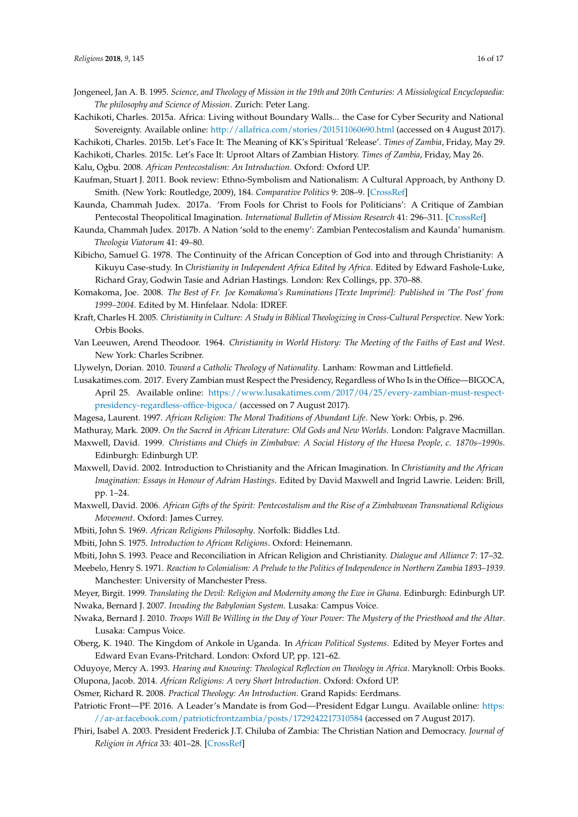- <span id="page-15-4"></span>Jongeneel, Jan A. B. 1995. *Science, and Theology of Mission in the 19th and 20th Centuries: A Missiological Encyclopaedia: The philosophy and Science of Mission*. Zurich: Peter Lang.
- <span id="page-15-24"></span>Kachikoti, Charles. 2015a. Africa: Living without Boundary Walls... the Case for Cyber Security and National Sovereignty. Available online: <http://allafrica.com/stories/201511060690.html> (accessed on 4 August 2017).
- <span id="page-15-25"></span>Kachikoti, Charles. 2015b. Let's Face It: The Meaning of KK's Spiritual 'Release'. *Times of Zambia*, Friday, May 29.

<span id="page-15-23"></span>Kachikoti, Charles. 2015c. Let's Face It: Uproot Altars of Zambian History. *Times of Zambia*, Friday, May 26.

<span id="page-15-19"></span><span id="page-15-0"></span>Kalu, Ogbu. 2008. *African Pentecostalism: An Introduction*. Oxford: Oxford UP.

- Kaufman, Stuart J. 2011. Book review: Ethno-Symbolism and Nationalism: A Cultural Approach, by Anthony D. Smith. (New York: Routledge, 2009), 184. *Comparative Politics* 9: 208–9. [\[CrossRef\]](http://dx.doi.org/10.1016/j.yebeh.2011.08.006)
- <span id="page-15-2"></span>Kaunda, Chammah Judex. 2017a. 'From Fools for Christ to Fools for Politicians': A Critique of Zambian Pentecostal Theopolitical Imagination. *International Bulletin of Mission Research* 41: 296–311. [\[CrossRef\]](http://dx.doi.org/10.1177/2396939317730694)
- <span id="page-15-26"></span>Kaunda, Chammah Judex. 2017b. A Nation 'sold to the enemy': Zambian Pentecostalism and Kaunda' humanism. *Theologia Viatorum* 41: 49–80.
- <span id="page-15-18"></span>Kibicho, Samuel G. 1978. The Continuity of the African Conception of God into and through Christianity: A Kikuyu Case-study. In *Christianity in Independent Africa Edited by Africa*. Edited by Edward Fashole-Luke, Richard Gray, Godwin Tasie and Adrian Hastings. London: Rex Collings, pp. 370–88.
- <span id="page-15-31"></span>Komakoma, Joe. 2008. *The Best of Fr. Joe Komakoma's Ruminations [Texte Imprimé]: Published in 'The Post' from 1999–2004*. Edited by M. Hinfelaar. Ndola: IDREF.
- <span id="page-15-16"></span>Kraft, Charles H. 2005. *Christianity in Culture: A Study in Biblical Theologizing in Cross-Cultural Perspective*. New York: Orbis Books.
- <span id="page-15-3"></span>Van Leeuwen, Arend Theodoor. 1964. *Christianity in World History: The Meeting of the Faiths of East and West*. New York: Charles Scribner.
- <span id="page-15-1"></span>Llywelyn, Dorian. 2010. *Toward a Catholic Theology of Nationality*. Lanham: Rowman and Littlefield.
- <span id="page-15-28"></span>Lusakatimes.com. 2017. Every Zambian must Respect the Presidency, Regardless of Who Is in the Office—BIGOCA, April 25. Available online: [https://www.lusakatimes.com/2017/04/25/every-zambian-must-respect](https://www.lusakatimes.com/2017/04/25/every-zambian-must-respect-presidency-regardless-office-bigoca/)[presidency-regardless-office-bigoca/](https://www.lusakatimes.com/2017/04/25/every-zambian-must-respect-presidency-regardless-office-bigoca/) (accessed on 7 August 2017).
- <span id="page-15-11"></span>Magesa, Laurent. 1997. *African Religion: The Moral Traditions of Abundant Life*. New York: Orbis, p. 296.
- <span id="page-15-10"></span>Mathuray, Mark. 2009. *On the Sacred in African Literature: Old Gods and New Worlds*. London: Palgrave Macmillan.
- <span id="page-15-12"></span>Maxwell, David. 1999. *Christians and Chiefs in Zimbabwe: A Social History of the Hwesa People, c. 1870s–1990s*. Edinburgh: Edinburgh UP.
- <span id="page-15-13"></span>Maxwell, David. 2002. Introduction to Christianity and the African Imagination. In *Christianity and the African Imagination: Essays in Honour of Adrian Hastings*. Edited by David Maxwell and Ingrid Lawrie. Leiden: Brill, pp. 1–24.
- <span id="page-15-14"></span>Maxwell, David. 2006. *African Gifts of the Spirit: Pentecostalism and the Rise of a Zimbabwean Transnational Religious Movement*. Oxford: James Currey.

<span id="page-15-9"></span>Mbiti, John S. 1969. *African Religions Philosophy*. Norfolk: Biddles Ltd.

<span id="page-15-27"></span>Mbiti, John S. 1975. *Introduction to African Religions*. Oxford: Heinemann.

<span id="page-15-17"></span>Mbiti, John S. 1993. Peace and Reconciliation in African Religion and Christianity. *Dialogue and Alliance* 7: 17–32.

- <span id="page-15-6"></span>Meebelo, Henry S. 1971. *Reaction to Colonialism: A Prelude to the Politics of Independence in Northern Zambia 1893–1939*. Manchester: University of Manchester Press.
- <span id="page-15-21"></span><span id="page-15-15"></span>Meyer, Birgit. 1999. *Translating the Devil: Religion and Modernity among the Ewe in Ghana*. Edinburgh: Edinburgh UP. Nwaka, Bernard J. 2007. *Invading the Babylonian System*. Lusaka: Campus Voice.
- <span id="page-15-22"></span>Nwaka, Bernard J. 2010. *Troops Will Be Willing in the Day of Your Power: The Mystery of the Priesthood and the Altar*. Lusaka: Campus Voice.
- <span id="page-15-7"></span>Oberg, K. 1940. The Kingdom of Ankole in Uganda. In *African Political Systems*. Edited by Meyer Fortes and Edward Evan Evans-Pritchard. London: Oxford UP, pp. 121–62.
- <span id="page-15-20"></span><span id="page-15-8"></span>Oduyoye, Mercy A. 1993. *Hearing and Knowing: Theological Reflection on Theology in Africa*. Maryknoll: Orbis Books. Olupona, Jacob. 2014. *African Religions: A very Short Introduction*. Oxford: Oxford UP.
- <span id="page-15-29"></span><span id="page-15-5"></span>Osmer, Richard R. 2008. *Practical Theology: An Introduction*. Grand Rapids: Eerdmans.
- Patriotic Front—PF. 2016. A Leader's Mandate is from God—President Edgar Lungu. Available online: [https:](https://ar-ar.facebook.com/patrioticfrontzambia/posts/1729242217310584) [//ar-ar.facebook.com/patrioticfrontzambia/posts/1729242217310584](https://ar-ar.facebook.com/patrioticfrontzambia/posts/1729242217310584) (accessed on 7 August 2017).
- <span id="page-15-30"></span>Phiri, Isabel A. 2003. President Frederick J.T. Chiluba of Zambia: The Christian Nation and Democracy. *Journal of Religion in Africa* 33: 401–28. [\[CrossRef\]](http://dx.doi.org/10.1163/157006603322665332)